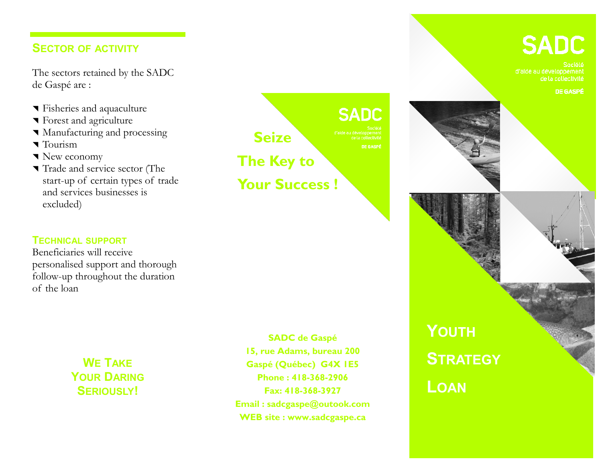## **SECTOR OF ACTIVITY**

The sectors retained by the SADC de Gaspé are :

- Fisheries and aquaculture
- **T** Forest and agriculture
- **Manufacturing and processing**
- $\blacksquare$  Tourism
- New economy
- Trade and service sector (The start-up of certain types of trade and services businesses is excluded)



**SADC** 

d'alde au développement de la collectivité

**DE GASPÉ** 



### **TECHNICAL SUPPORT**

Beneficiaries will receive personalised support and thorough follow-up throughout the duration of the loan

> **WE TAKE YOUR DARING SERIOUSLY!**

**SADC de Gaspé 15, rue Adams, bureau 200 Gaspé (Québec) G4X 1E5 Phone : 418-368-2906 Fax: 418-368-3927 Email : sadcgaspe@outook.com WEB site : www.sadcgaspe.ca**